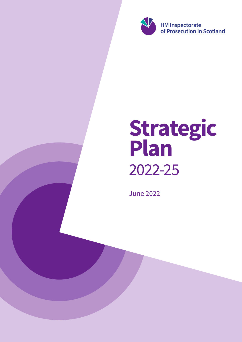

# Strategic Plan 2022-25

June 2022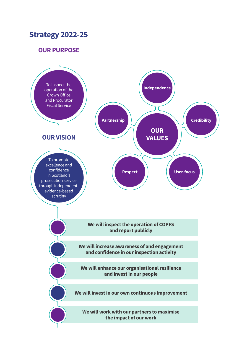# **Strategy 2022-25**



**We will work with our partners to maximise the impact of our work**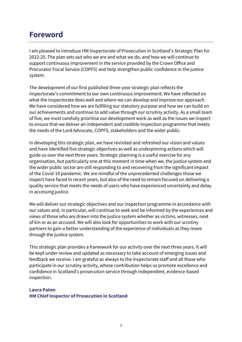# **Foreword**

I am pleased to introduce HM Inspectorate of Prosecution in Scotland's Strategic Plan for 2022-25. The plan sets out who we are and what we do, and how we will continue to support continuous improvement in the service provided by the Crown Office and Procurator Fiscal Service (COPFS) and help strengthen public confidence in the justice system.

The development of our first published three-year strategic plan reflects the inspectorate's commitment to our own continuous improvement. We have reflected on what the inspectorate does well and where we can develop and improve our approach. We have considered how we are fulfilling our statutory purpose and how we can build on our achievements and continue to add value through our scrutiny activity. As a small team of five, we must carefully prioritise our development work as well as the issues we inspect to ensure that we deliver an independent and credible inspection programme that meets the needs of the Lord Advocate, COPFS, stakeholders and the wider public.

In developing this strategic plan, we have revisited and refreshed our vision and values and have identified five strategic objectives as well as underpinning actions which will guide us over the next three years. Strategic planning is a useful exercise for any organisation, but particularly one at this moment in time when we, the justice system and the wider public sector are still responding to and recovering from the significant impact of the Covid-19 pandemic. We are mindful of the unprecedented challenges those we inspect have faced in recent years, but also of the need to remain focused on delivering a quality service that meets the needs of users who have experienced uncertainty and delay in accessing justice.

We will deliver our strategic objectives and our inspection programme in accordance with our values and, in particular, will continue to seek and be informed by the experiences and views of those who are drawn into the justice system whether as victims, witnesses, next of kin or as an accused. We will also look for opportunities to work with our scrutiny partners to gain a better understanding of the experience of individuals as they move through the justice system.

This strategic plan provides a framework for our activity over the next three years. It will be kept under review and updated as necessary to take account of emerging issues and feedback we receive. I am grateful as always to the inspectorate staff and all those who participate in our scrutiny activity, whose contribution helps us promote excellence and confidence in Scotland's prosecution service through independent, evidence-based inspection.

## **Laura Paton HM Chief Inspector of Prosecution in Scotland**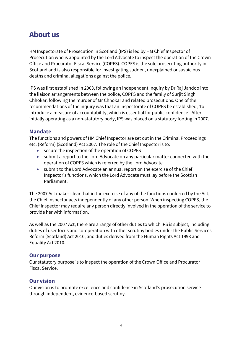# **About us**

HM Inspectorate of Prosecution in Scotland (IPS) is led by HM Chief Inspector of Prosecution who is appointed by the Lord Advocate to inspect the operation of the Crown Office and Procurator Fiscal Service (COPFS). COPFS is the sole prosecuting authority in Scotland and is also responsible for investigating sudden, unexplained or suspicious deaths and criminal allegations against the police.

IPS was first established in 2003, following an independent inquiry by Dr Raj Jandoo into the liaison arrangements between the police, COPFS and the family of Surjit Singh Chhokar, following the murder of Mr Chhokar and related prosecutions. One of the recommendations of the inquiry was that an inspectorate of COPFS be established, 'to introduce a measure of accountability, which is essential for public confidence'. After initially operating as a non-statutory body, IPS was placed on a statutory footing in 2007.

# **Mandate**

The functions and powers of HM Chief Inspector are set out in the Criminal Proceedings etc. (Reform) (Scotland) Act 2007. The role of the Chief Inspector is to:

- secure the inspection of the operation of COPFS
- submit a report to the Lord Advocate on any particular matter connected with the operation of COPFS which is referred by the Lord Advocate
- submit to the Lord Advocate an annual report on the exercise of the Chief Inspector's functions, which the Lord Advocate must lay before the Scottish Parliament.

The 2007 Act makes clear that in the exercise of any of the functions conferred by the Act, the Chief Inspector acts independently of any other person. When inspecting COPFS, the Chief Inspector may require any person directly involved in the operation of the service to provide her with information.

As well as the 2007 Act, there are a range of other duties to which IPS is subject, including duties of user focus and co-operation with other scrutiny bodies under the Public Services Reform (Scotland) Act 2010, and duties derived from the Human Rights Act 1998 and Equality Act 2010.

## **Our purpose**

Our statutory purpose is to inspect the operation of the Crown Office and Procurator Fiscal Service.

## **Our vision**

Our vision is to promote excellence and confidence in Scotland's prosecution service through independent, evidence-based scrutiny.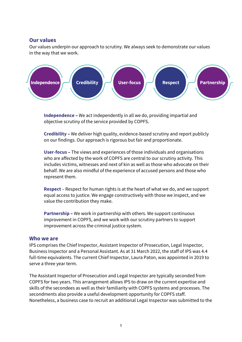## **Our values**

Our values underpin our approach to scrutiny. We always seek to demonstrate our values in the way that we work.



**Independence –** We act independently in all we do, providing impartial and objective scrutiny of the service provided by COPFS.

**Credibility –** We deliver high quality, evidence-based scrutiny and report publicly on our findings. Our approach is rigorous but fair and proportionate.

**User-focus –** The views and experiences of those individuals and organisations who are affected by the work of COPFS are central to our scrutiny activity. This includes victims, witnesses and next of kin as well as those who advocate on their behalf. We are also mindful of the experience of accused persons and those who represent them.

**Respect** – Respect for human rights is at the heart of what we do, and we support equal access to justice. We engage constructively with those we inspect, and we value the contribution they make.

**Partnership –** We work in partnership with others. We support continuous improvement in COPFS, and we work with our scrutiny partners to support improvement across the criminal justice system.

#### **Who we are**

IPS comprises the Chief Inspector, Assistant Inspector of Prosecution, Legal Inspector, Business Inspector and a Personal Assistant. As at 31 March 2022, the staff of IPS was 4.4 full-time equivalents. The current Chief Inspector, Laura Paton, was appointed in 2019 to serve a three year term.

The Assistant Inspector of Prosecution and Legal Inspector are typically seconded from COPFS for two years. This arrangement allows IPS to draw on the current expertise and skills of the secondees as well as their familiarity with COPFS systems and processes. The secondments also provide a useful development opportunity for COPFS staff. Nonetheless, a business case to recruit an additional Legal Inspector was submitted to the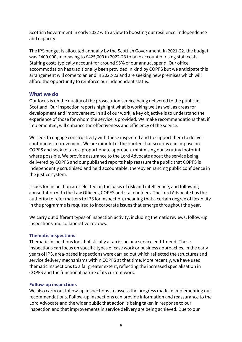Scottish Government in early 2022 with a view to boosting our resilience, independence and capacity.

The IPS budget is allocated annually by the Scottish Government. In 2021-22, the budget was £400,000, increasing to £425,000 in 2022-23 to take account of rising staff costs. Staffing costs typically account for around 95% of our annual spend. Our office accommodation has traditionally been provided in kind by COPFS but we anticipate this arrangement will come to an end in 2022-23 and are seeking new premises which will afford the opportunity to reinforce our independent status.

## **What we do**

Our focus is on the quality of the prosecution service being delivered to the public in Scotland. Our inspection reports highlight what is working well as well as areas for development and improvement. In all of our work, a key objective is to understand the experience of those for whom the service is provided. We make recommendations that, if implemented, will enhance the effectiveness and efficiency of the service.

We seek to engage constructively with those inspected and to support them to deliver continuous improvement. We are mindful of the burden that scrutiny can impose on COPFS and seek to take a proportionate approach, minimising our scrutiny footprint where possible. We provide assurance to the Lord Advocate about the service being delivered by COPFS and our published reports help reassure the public that COPFS is independently scrutinised and held accountable, thereby enhancing public confidence in the justice system.

Issues for inspection are selected on the basis of risk and intelligence, and following consultation with the Law Officers, COPFS and stakeholders. The Lord Advocate has the authority to refer matters to IPS for inspection, meaning that a certain degree of flexibility in the programme is required to incorporate issues that emerge throughout the year.

We carry out different types of inspection activity, including thematic reviews, follow-up inspections and collaborative reviews.

#### **Thematic inspections**

Thematic inspections look holistically at an issue or a service end-to-end. These inspections can focus on specific types of case work or business approaches. In the early years of IPS, area-based inspections were carried out which reflected the structures and service delivery mechanisms within COPFS at that time. More recently, we have used thematic inspections to a far greater extent, reflecting the increased specialisation in COPFS and the functional nature of its current work.

#### **Follow-up inspections**

We also carry out follow-up inspections, to assess the progress made in implementing our recommendations. Follow-up inspections can provide information and reassurance to the Lord Advocate and the wider public that action is being taken in response to our inspection and that improvements in service delivery are being achieved. Due to our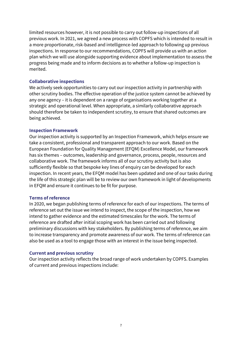limited resources however, it is not possible to carry out follow-up inspections of all previous work. In 2021, we agreed a new process with COPFS which is intended to result in a more proportionate, risk-based and intelligence-led approach to following up previous inspections. In response to our recommendations, COPFS will provide us with an action plan which we will use alongside supporting evidence about implementation to assess the progress being made and to inform decisions as to whether a follow-up inspection is merited.

#### **Collaborative inspections**

We actively seek opportunities to carry out our inspection activity in partnership with other scrutiny bodies. The effective operation of the justice system cannot be achieved by any one agency – it is dependent on a range of organisations working together at a strategic and operational level. When appropriate, a similarly collaborative approach should therefore be taken to independent scrutiny, to ensure that shared outcomes are being achieved.

#### **Inspection Framework**

Our inspection activity is supported by an Inspection Framework, which helps ensure we take a consistent, professional and transparent approach to our work. Based on the European Foundation for Quality Management (EFQM) Excellence Model, our framework has six themes – outcomes, leadership and governance, process, people, resources and collaborative work. The framework informs all of our scrutiny activity but is also sufficiently flexible so that bespoke key lines of enquiry can be developed for each inspection. In recent years, the EFQM model has been updated and one of our tasks during the life of this strategic plan will be to review our own framework in light of developments in EFQM and ensure it continues to be fit for purpose.

#### **Terms of reference**

In 2020, we began publishing terms of reference for each of our inspections. The terms of reference set out the issue we intend to inspect, the scope of the inspection, how we intend to gather evidence and the estimated timescales for the work. The terms of reference are drafted after initial scoping work has been carried out and following preliminary discussions with key stakeholders. By publishing terms of reference, we aim to increase transparency and promote awareness of our work. The terms of reference can also be used as a tool to engage those with an interest in the issue being inspected.

#### **Current and previous scrutiny**

Our inspection activity reflects the broad range of work undertaken by COPFS. Examples of current and previous inspections include: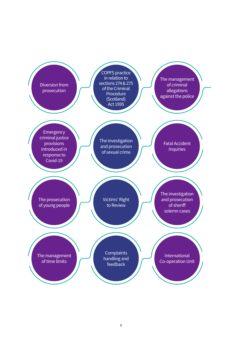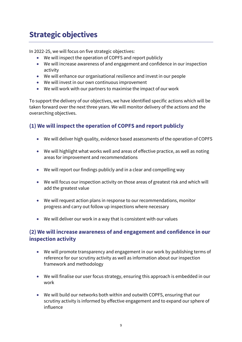# **Strategic objectives**

In 2022-25, we will focus on five strategic objectives:

- We will inspect the operation of COPFS and report publicly
- We will increase awareness of and engagement and confidence in our inspection activity
- We will enhance our organisational resilience and invest in our people
- We will invest in our own continuous improvement
- We will work with our partners to maximise the impact of our work

To support the delivery of our objectives, we have identified specific actions which will be taken forward over the next three years. We will monitor delivery of the actions and the overarching objectives.

# **(1) We will inspect the operation of COPFS and report publicly**

- We will deliver high quality, evidence based assessments of the operation of COPFS
- We will highlight what works well and areas of effective practice, as well as noting areas for improvement and recommendations
- We will report our findings publicly and in a clear and compelling way
- We will focus our inspection activity on those areas of greatest risk and which will add the greatest value
- We will request action plans in response to our recommendations, monitor progress and carry out follow up inspections where necessary
- We will deliver our work in a way that is consistent with our values

# **(2) We will increase awareness of and engagement and confidence in our inspection activity**

- We will promote transparency and engagement in our work by publishing terms of reference for our scrutiny activity as well as information about our inspection framework and methodology
- We will finalise our user focus strategy, ensuring this approach is embedded in our work
- We will build our networks both within and outwith COPFS, ensuring that our scrutiny activity is informed by effective engagement and to expand our sphere of influence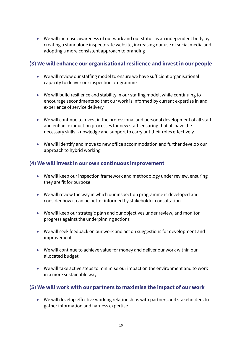• We will increase awareness of our work and our status as an independent body by creating a standalone inspectorate website, increasing our use of social media and adopting a more consistent approach to branding

# **(3) We will enhance our organisational resilience and invest in our people**

- We will review our staffing model to ensure we have sufficient organisational capacity to deliver our inspection programme
- We will build resilience and stability in our staffing model, while continuing to encourage secondments so that our work is informed by current expertise in and experience of service delivery
- We will continue to invest in the professional and personal development of all staff and enhance induction processes for new staff, ensuring that all have the necessary skills, knowledge and support to carry out their roles effectively
- We will identify and move to new office accommodation and further develop our approach to hybrid working

# **(4) We will invest in our own continuous improvement**

- We will keep our inspection framework and methodology under review, ensuring they are fit for purpose
- We will review the way in which our inspection programme is developed and consider how it can be better informed by stakeholder consultation
- We will keep our strategic plan and our objectives under review, and monitor progress against the underpinning actions
- We will seek feedback on our work and act on suggestions for development and improvement
- We will continue to achieve value for money and deliver our work within our allocated budget
- We will take active steps to minimise our impact on the environment and to work in a more sustainable way

# **(5) We will work with our partners to maximise the impact of our work**

• We will develop effective working relationships with partners and stakeholders to gather information and harness expertise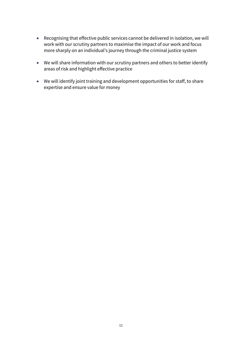- Recognising that effective public services cannot be delivered in isolation, we will work with our scrutiny partners to maximise the impact of our work and focus more sharply on an individual's journey through the criminal justice system
- We will share information with our scrutiny partners and others to better identify areas of risk and highlight effective practice
- We will identify joint training and development opportunities for staff, to share expertise and ensure value for money